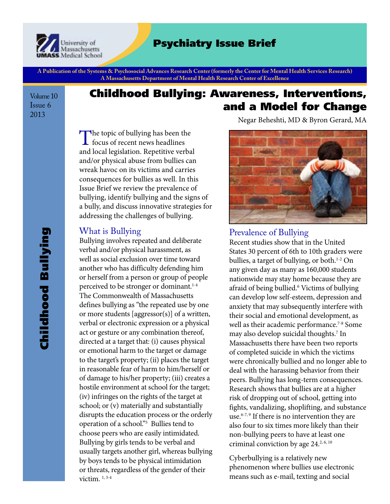

# Psychiatry Issue Brief

**A Publication of the Systems & Psychosocial Advances Research Center (formerly the Center for Mental Health Services Research) A Massachusetts Department of Mental Health Research Center of Excellence**

Volume 10 Issue 6 2013

# Childhood Bullying: Awareness, Interventions, and a Model for Change

The topic of bullying has been the  $\perp$  focus of recent news headlines and local legislation. Repetitive verbal and/or physical abuse from bullies can wreak havoc on its victims and carries consequences for bullies as well. In this Issue Brief we review the prevalence of bullying, identify bullying and the signs of a bully, and discuss innovative strategies for addressing the challenges of bullying.

#### What is Bullying

Bullying involves repeated and deliberate verbal and/or physical harassment, as well as social exclusion over time toward another who has difficulty defending him or herself from a person or group of people perceived to be stronger or dominant.<sup>1-4</sup> The Commonwealth of Massachusetts defines bullying as "the repeated use by one or more students [aggressor(s)] of a written, verbal or electronic expression or a physical act or gesture or any combination thereof, directed at a target that: (i) causes physical or emotional harm to the target or damage to the target's property; (ii) places the target in reasonable fear of harm to him/herself or of damage to his/her property; (iii) creates a hostile environment at school for the target; (iv) infringes on the rights of the target at school; or (v) materially and substantially disrupts the education process or the orderly operation of a school."5 Bullies tend to choose peers who are easily intimidated. Bullying by girls tends to be verbal and usually targets another girl, whereas bullying by boys tends to be physical intimidation or threats, regardless of the gender of their victim.<sup>1,3-4</sup>

Negar Beheshti, MD & Byron Gerard, MA



#### Prevalence of Bullying

Recent studies show that in the United States 30 percent of 6th to 10th graders were bullies, a target of bullying, or both.<sup>1-2</sup> On any given day as many as 160,000 students nationwide may stay home because they are afraid of being bullied.6 Victims of bullying can develop low self-esteem, depression and anxiety that may subsequently interfere with their social and emotional development, as well as their academic performance.<sup>7-8</sup> Some may also develop suicidal thoughts.7 In Massachusetts there have been two reports of completed suicide in which the victims were chronically bullied and no longer able to deal with the harassing behavior from their peers. Bullying has long-term consequences. Research shows that bullies are at a higher risk of dropping out of school, getting into fights, vandalizing, shoplifting, and substance use.<sup>6-7, 9</sup> If there is no intervention they are also four to six times more likely than their non-bullying peers to have at least one criminal conviction by age  $24^{2,6,10}$ 

Cyberbullying is a relatively new phenomenon where bullies use electronic means such as e-mail, texting and social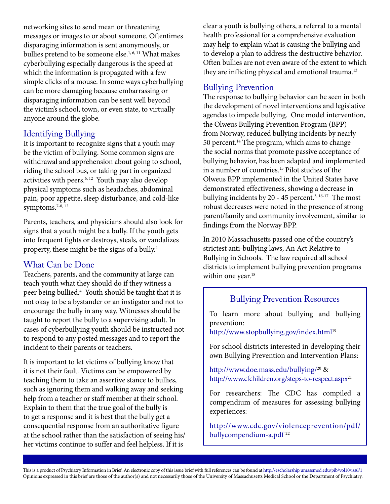networking sites to send mean or threatening messages or images to or about someone. Oftentimes disparaging information is sent anonymously, or bullies pretend to be someone else.<sup>1, 6, 11</sup> What makes cyberbullying especially dangerous is the speed at which the information is propagated with a few simple clicks of a mouse. In some ways cyberbullying can be more damaging because embarrassing or disparaging information can be sent well beyond the victim's school, town, or even state, to virtually anyone around the globe.

### Identifying Bullying

It is important to recognize signs that a youth may be the victim of bullying. Some common signs are withdrawal and apprehension about going to school, riding the school bus, or taking part in organized activities with peers. $6, 12$  Youth may also develop physical symptoms such as headaches, abdominal pain, poor appetite, sleep disturbance, and cold-like symptoms.<sup>7-8, 12</sup>

Parents, teachers, and physicians should also look for signs that a youth might be a bully. If the youth gets into frequent fights or destroys, steals, or vandalizes property, these might be the signs of a bully.4

#### What Can be Done

Teachers, parents, and the community at large can teach youth what they should do if they witness a peer being bullied.4 Youth should be taught that it is not okay to be a bystander or an instigator and not to encourage the bully in any way. Witnesses should be taught to report the bully to a supervising adult. In cases of cyberbullying youth should be instructed not to respond to any posted messages and to report the incident to their parents or teachers.

It is important to let victims of bullying know that it is not their fault. Victims can be empowered by teaching them to take an assertive stance to bullies, such as ignoring them and walking away and seeking help from a teacher or staff member at their school. Explain to them that the true goal of the bully is to get a response and it is best that the bully get a consequential response from an authoritative figure at the school rather than the satisfaction of seeing his/ her victims continue to suffer and feel helpless. If it is

clear a youth is bullying others, a referral to a mental health professional for a comprehensive evaluation may help to explain what is causing the bullying and to develop a plan to address the destructive behavior. Often bullies are not even aware of the extent to which they are inflicting physical and emotional trauma.<sup>13</sup>

## Bullying Prevention

The response to bullying behavior can be seen in both the development of novel interventions and legislative agendas to impede bullying. One model intervention, the Olweus Bullying Prevention Program (BPP) from Norway, reduced bullying incidents by nearly 50 percent.<sup>14</sup> The program, which aims to change the social norms that promote passive acceptance of bullying behavior, has been adapted and implemented in a number of countries.<sup>15</sup> Pilot studies of the Olweus BPP implemented in the United States have demonstrated effectiveness, showing a decrease in bullying incidents by 20 - 45 percent.<sup>3, 16-17</sup> The most robust decreases were noted in the presence of strong parent/family and community involvement, similar to findings from the Norway BPP.

In 2010 Massachusetts passed one of the country's strictest anti-bullying laws, An Act Relative to Bullying in Schools. The law required all school districts to implement bullying prevention programs within one year.<sup>18</sup>

## Bullying Prevention Resources

To learn more about bullying and bullying prevention:

http://www.stopbullying.gov/index.html<sup>19</sup>

For school districts interested in developing their own Bullying Prevention and Intervention Plans:

http://www.doe.mass.edu/bullying/20 & http://www.cfchildren.org/steps-to-respect.aspx<sup>21</sup>

For researchers: The CDC has compiled a compendium of measures for assessing bullying experiences:

http://www.cdc.gov/violenceprevention/pdf/ bullycompendium-a.pdf<sup>22</sup>